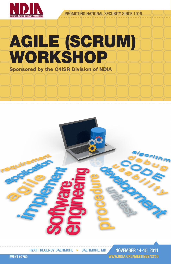

PROMOTING NATIONAL SECURITY SINCE 1919

# AGILE (SCRUM) WORKSHOP

Sponsored by the C4ISR Division of NDIA

HYATT REGENCY BALTIMORE ▶ BALTIMORE, MD

NOVEMBER 14-15, 2011 WWW.NDIA.ORG/MEETINGS/2750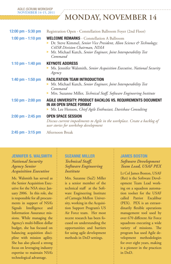AGILE (SCRUM) WORKSHOP **NOVEMBER 14-15, 2011**

## **MONDAY, NOVEMBER 14**

| 12:00 pm - 5:30 pm    | Registration Open - Constellation Ballroom Foyer (2nd Floor)                                                                                                                                                                               |
|-----------------------|--------------------------------------------------------------------------------------------------------------------------------------------------------------------------------------------------------------------------------------------|
| 1:00 pm $-$ 1:10 pm   | <b>WELCOME REMARKS</b> - Constellation A Ballroom<br>▶ Dr. Steve Kimmel, Senior Vice President, Alion Science & Technology;<br>C4ISR Division Chairman, NDIA<br>Mr. Michael Kutch, Senior Engineer, Joint Interoperability Test<br>Command |
| 1:10 pm $-$ 1:40 pm   | <b>KEYNOTE ADDRESS</b><br>• Ms. Jennifer Walsmith, Senior Acquisition Executive, National Security<br>Agency                                                                                                                               |
| 1:40 pm $-$ 1:50 pm   | <b>FACILITATION TEAM INTRODUCTION</b><br>• Mr. Michael Kutch, Senior Engineer, Joint Interoperability Test<br>Command<br>• Mrs. Suzanne Miller, Technical Staff, Software Engineering Institute                                            |
| 1:50 pm $-$ 2:00 pm   | AGILE UNIVERSITY: PRODUCT BACKLOG VS. REQUIREMENTS DOCUMENT<br>IN AN OPEN SPACE FORMAT<br>Mr. Lee Henson, Chief Agile Enthusiast, Davisbase Consulting                                                                                     |
| $2:00$ pm $- 2:45$ pm | <b>OPEN SPACE SESSION</b><br>Discuss current impediments to Agile in the workplace. Create a backlog of<br>user stories for workshop development                                                                                           |
| $2:45$ pm - $3:15$ pm | Afternoon Break                                                                                                                                                                                                                            |
|                       |                                                                                                                                                                                                                                            |

#### JENNIFER S. WALSMITH *National Security Agency Senior Acquisition Executive*

Ms. Walsmith has served as the Senior Acquisition Executive for the NSA since January 2006. In this role, she is responsible for all procurements in support of NSA's Signals Intelligence and Information Assurance missions. While managing the Agency's multi-billion dollar budget, she has focused on balancing acquisition discipline with mission agility. She has also placed a strong focus on leveraging industry expertise to maintain NSA's technological advantage.

#### SUZANNE MILLER *Technical Staff, Software Engineering Institute*

Mrs. Suzanne (SuZ) Miller is a senior member of the technical staff at the Software Engineering Institute of Carnegie Mellon University, working in the Acquisition Support Program's US Air Force team. Her most recent research has been focused on understanding the opportunities and barriers for using agile development methods in DoD settings.

#### JAMES BOSTON *Software Development Team Lead, USAF PEX*

Lt Col James Boston, USAF (Ret) is the Software Development Team Lead working on a squadron automation toolset for the USAF called Patriot Excalibur (PEX). PEX is an extraordinarily flexible operations management tool used by over 670 different Air Force squadrons executing a wide variety of missions. The program has used Agile development methodologies for over eight years, making it a pioneer in the practices in DoD.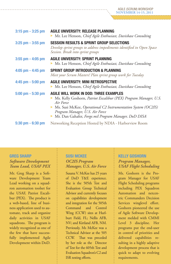| $3:15$ pm $-3:25$ pm  | AGILE UNIVERSITY: RELEASE PLANNING<br>• Mr. Lee Henson, <i>Chief Agile Enthusiast</i> , <i>Davisbase Consulting</i>                                                                                                                                                                                    |
|-----------------------|--------------------------------------------------------------------------------------------------------------------------------------------------------------------------------------------------------------------------------------------------------------------------------------------------------|
| $3:25$ pm - $3:55$ pm | <b>SESSION RESULTS &amp; SPRINT GROUP SELECTIONS</b><br>Develop sprint groups to address impediments identified in Open Space<br>Session. Break into sprint groups                                                                                                                                     |
| $3:55$ pm - 4:05 pm   | AGILE UNIVERSITY: SPRINT PLANNING<br>• Mr. Lee Henson, <i>Chief Agile Enthusiast</i> , <i>Davisbase Consulting</i>                                                                                                                                                                                     |
| $4:05$ pm - $4:45$ pm | SPRINT GROUP INTRODUCTION & PLANNING<br>Meet your Scrum Masters! Plan sprint group work for Tuesday                                                                                                                                                                                                    |
| $4:45$ pm $-5:00$ pm  | AGILE UNIVERSITY: MINI RETROSPECTIVE<br>• Mr. Lee Henson, <i>Chief Agile Enthusiast</i> , <i>Davisbase Consulting</i>                                                                                                                                                                                  |
| $5:00$ pm $-5:30$ pm  | AGILE WILL WORK IN DOD: THREE EXAMPLES<br>• Ms. Kelly Goshorn, Patriot Excalibur (PEX) Program Manager, U.S.<br>Air Force<br>$\triangleright$ Ms. Susi McKee, Operational C2 Instrumentation System (OC2IS)<br>Program Manager, U.S. Air Force<br>Mr. Dan Gahafer, Forge.mil Program Manager, DoD DISA |
| $5:30$ pm $-6:30$ pm  | Networking Reception Hosted by NDIA - Harborview Room                                                                                                                                                                                                                                                  |

### GREG SHARP

*Software Development Team Lead, USAF PEX* Mr. Greg Sharp is a Soft-

ware Development Team Lead working on a squadron automation toolset for the USAF, Patriot Excalibur (PEX). The product is a web-based, line of business application used to automate, track and organize daily activities in USAF squadrons. The program is widely recognized as one of the few that have successfully implemented Agile Development within DoD.

#### SUSI MCKEE *OC2IS Program Manager, U.S. Air Force*

Susana V. McKee has 25 years of DoD T&E experience. She is the 505th Test and Evaluation Group Technical Advisor and currently focuses on capabilities development and integration for the 505th Command and Control Wing (CCW) sites at Hurlburt Field, FL; Nellis AFB, NV; and Kirtland AFB, NM. Previously, Ms McKee was a Technical Advisor at the 505 CCW. That was preceded by her role as the Director of Test for the 605th Test and Evaluation Squadron's C2 and ISR testing efforts.

#### KELLY GOSHORN *Program Manager, USAF Flight Scheduling*

Ms. Goshorn is the Program Manager for USAF Flight Scheduling programs including PEX Squadron Automation and netcentric Commanders Decision Services winglevel effort. Goshorn pioneered the use of Agile Software Development melded with CMMI Level 3 discipline. Her programs put the end-user in control of priorities and delivered capabilities resulting in a highly adaptive development process that is quick to adapt to evolving requirements.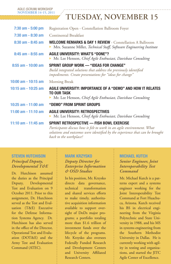AGILE (SCRUM) WORKSHOP **NOVEMBER 14-15, 2011**

**TUESDAY, NOVEMBER 15**

| 7:30 am - 5:00 pm     | Registration Open - Constellation Ballroom Foyer                                                                                                                                                                              |
|-----------------------|-------------------------------------------------------------------------------------------------------------------------------------------------------------------------------------------------------------------------------|
| $7:30$ am - 8:30 am   | Continental Breakfast                                                                                                                                                                                                         |
| $8:30$ am - $8:45$ am | <b>WELCOME REMARKS &amp; DAY 1 REVIEW</b> - Constellation A Ballroom<br>> Mrs. Suzanne Miller, Technical Staff, Software Engineering Institute                                                                                |
| $8:45$ am - $8:55$ am | <b>AGILE UNIVERSITY: WHAT'S "DONE"?</b><br>$\triangleright$ Mr. Lee Henson, <i>Chief Agile Enthusiast</i> , <i>Davisbase Consulting</i>                                                                                       |
| $8:55$ am - 10:00 am  | SPRINT GROUP WORK - "IDEAS FOR CHANGE"<br>Build integrated solutions that address the previously identified<br>impediments. Create presentations for "ideas for change"                                                       |
| 10:00 am - 10:15 am   | Morning Break                                                                                                                                                                                                                 |
| 10:15 am - 10:25 am   | AGILE UNIVERSITY: IMPORTANCE OF A "DEMO" AND HOW IT RELATES<br><b>TO OUR TASK</b><br>Mr. Lee Henson, Chief Agile Enthusiast, Davisbase Consulting                                                                             |
| 10:25 am - 11:00 am   | "DEMO" FROM SPRINT GROUPS                                                                                                                                                                                                     |
| 11:00 am - 11:10 am   | <b>AGILE UNIVERSITY: RETROSPECTIVES</b><br>$\triangleright$ Mr. Lee Henson, <i>Chief Agile Enthusiast</i> , <i>Davisbase Consulting</i>                                                                                       |
| 11:10 am - 11:45 am   | SPRINT RETROSPECTIVE - FISH BOWL EXERCISE<br>Participants discuss how it felt to work in an agile environment. What<br>solutions and outcomes were identified by the experience that can be brought<br>back to the workplace? |

#### STEVEN HUTCHISON *Principal Deputy, Developmental T&E*

Dr. Hutchison assumed the duties as the Principal Deputy, Developmental Test and Evaluation on 9 October 2011. Prior to this assignment, Dr. Hutchison served as the Test and Evaluation (T&E) Executive for the Defense Information Systems Agency. Dr. Hutchison has also served in the office of the Director, Operational Test and Evaluation (DOT&E) and the Army Test and Evaluation Command (ATEC).

#### MARK KRZYSKO *Deputy Director for Enterprise Information & OSD Studies*

In his position, Mr. Krzysko directs data governance, technical transformation and shared services efforts to make timely, authoritative acquisition information available to support oversight of DoDs major programs; a portfolio totaling more than \$1.6 trillion of investment funds over the lifecycle of the programs. Mr. Krzysko also oversees Federally Funded Research and Development Centers and University Affiliated Research Centers.

#### MICHAEL KUTCH *Senior Engineer, Joint Interoperability Test Command*

Mr. Michael Kutch is a patterns expert and a systems engineer working for the Joint Interoperability Test Command at Fort Huachuca, Arizona. Kutch received his BS in electrical engineering from the Virginia Polytechnic and State University in 1988, and his MS in systems engineering from the Southern Methodist University in Dallas. He is currently working with agility in testing and organizations, and started the JITC Agile Center of Excellence.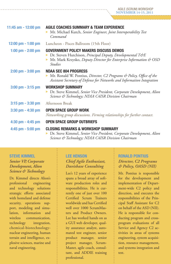| 11:45 am - 12:00 pm   | AGILE COACHES SUMMARY & TEAM EXPERIENCE<br>Mr. Michael Kutch, Senior Engineer, Joint Interoperability Test<br>Command                                                                                     |
|-----------------------|-----------------------------------------------------------------------------------------------------------------------------------------------------------------------------------------------------------|
| 12:00 pm $-$ 1:00 pm  | Luncheon - Pisces Ballroom (15th Floor)                                                                                                                                                                   |
| 1:00 pm $- 2:00$ pm   | <b>GOVERNMENT POLICY MAKERS DISCUSS DEMOS</b><br>Dr. Steven Hutchison, Principal Deputy, Developmental T&E<br>Mr. Mark Krzysko, Deputy Director for Enterprise Information & OSD<br><i><u>Studies</u></i> |
| $2:00$ pm $-3:00$ pm  | <b>NDAA SEC 804 PROGRESS</b><br>• Mr. Ronald W. Pontius, <i>Director</i> , C2 Programs & Policy, Office of the<br>Assistant Secretary of Defense for Networks and Information Integration                 |
| $3:00$ pm $-3:15$ pm  | <b>WORKSHOP SUMMARY</b><br>• Dr. Steve Kimmel, Senior Vice President, Corporate Development, Alion<br>Science & Technology; NDIA C4ISR Division Chairman                                                  |
| $3:15$ pm $-3:30$ pm  | Afternoon Break                                                                                                                                                                                           |
| $3:30$ pm $- 4:30$ pm | <b>OPEN SPACE GROUP WORK</b><br>Networking group discussions. Firming relationships for further contact.                                                                                                  |
| $4:30$ pm $- 4:45$ pm | <b>OPEN SPACE GROUP OUTBRIEFS</b>                                                                                                                                                                         |
| $4:45$ pm - 5:00 pm   | <b>CLOSING REMARKS &amp; WORKSHOP SUMMARY</b><br>Dr. Steve Kimmel, Senior Vice President, Corporate Development, Alion<br>Science & Technology; NDIA C4ISR Division Chairman                              |

#### STEVE KIMMEL

*Senior VP, Corporate Development, Alion Science & Technology*

Dr. Kimmel directs Alion's professional engineering and technology solutions strategic efforts associated with homeland and defense security, operations support, modeling and simulation, information and wireless communication, technology integration, chemical-biotechnologynuclear engineering, human terrain and intelligence, explosive sciences, marine and naval engineering.

#### LEE HENSON *Chief Agile Enthusiast, Davisbase Consulting*

Lee's 12 years of experience spans a broad array of software production roles and responsibilities. He is currently one of just over 100 Certified Scrum Trainers worldwide and has Certified well over 1000 ScrumMasters and Product Owners. Lee has worked hands on as a GUI web developer, quality assurance analyst, automated test engineer, senior product manager, senior project manager, Scrum-Master, agile coach, consultant, and ADDIE training professional.

#### RONALD PONTIUS *Director, C2 Programs & Policy, OASD (NII)*

Mr. Pontius is responsible for the development and implementation of Department-wide C2 policy and direction, and executes the responsibilities of the Principal Staff Assistant for C2 on behalf of the ASD (NII). He is responsible for conducting program and crossprogram evaluations of all Service and Agency C2 activities in areas of systems engineering, system acquisition, resource management, and systems integration and test.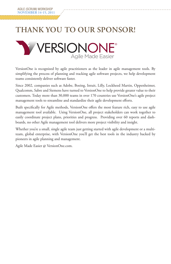## **THANK YOU TO OUR SPONSOR!**



VersionOne is recognized by agile practitioners as the leader in agile management tools. By simplifying the process of planning and tracking agile software projects, we help development teams consistently deliver software faster.

Since 2002, companies such as Adobe, Boeing, Intuit, Lilly, Lockheed Martin, Oppenheimer, Qualcomm, Sabre and Siemens have turned to VersionOne to help provide greater value to their customers. Today more than 30,000 teams in over 170 countries use VersionOne's agile project management tools to streamline and standardize their agile development efforts.

Built specifically for Agile methods, VersionOne offers the most feature rich, easy to use agile management tool available. Using VersionOne, all project stakeholders can work together to easily coordinate project plans, priorities and progress. Providing over 60 reports and dashboards, no other Agile management tool delivers more project visibility and insight.

Whether you're a small, single agile team just getting started with agile development or a multiteam, global enterprise, with VersionOne you'll get the best tools in the industry backed by pioneers in agile planning and management.

Agile Made Easier @ VersionOne.com.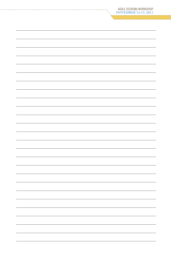| AGILE (SCRUM) WORKSHOP<br>NOVEMBER 14-15, 2011 |
|------------------------------------------------|
|                                                |
|                                                |
|                                                |
|                                                |
|                                                |
|                                                |
|                                                |
|                                                |
|                                                |
|                                                |
|                                                |
|                                                |
|                                                |
|                                                |
|                                                |
|                                                |
|                                                |
|                                                |
|                                                |
|                                                |
|                                                |
|                                                |
|                                                |
|                                                |
|                                                |
|                                                |
|                                                |
|                                                |
|                                                |
|                                                |
|                                                |
|                                                |

-----<br>...